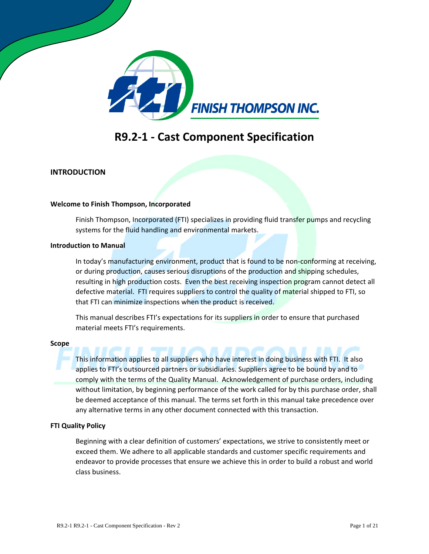

### **R9.2-1 - Cast Component Specification**

#### **INTRODUCTION**

#### **Welcome to Finish Thompson, Incorporated**

Finish Thompson, Incorporated (FTI) specializes in providing fluid transfer pumps and recycling systems for the fluid handling and environmental markets.

#### **Introduction to Manual**

In today's manufacturing environment, product that is found to be non-conforming at receiving, or during production, causes serious disruptions of the production and shipping schedules, resulting in high production costs. Even the best receiving inspection program cannot detect all defective material. FTI requires suppliers to control the quality of material shipped to FTI, so that FTI can minimize inspections when the product is received.

This manual describes FTI's expectations for its suppliers in order to ensure that purchased material meets FTI's requirements.

#### **Scope**

This information applies to all suppliers who have interest in doing business with FTI. It also applies to FTI's outsourced partners or subsidiaries. Suppliers agree to be bound by and to comply with the terms of the Quality Manual. Acknowledgement of purchase orders, including without limitation, by beginning performance of the work called for by this purchase order, shall be deemed acceptance of this manual. The terms set forth in this manual take precedence over any alternative terms in any other document connected with this transaction.

#### **FTI Quality Policy**

Beginning with a clear definition of customers' expectations, we strive to consistently meet or exceed them. We adhere to all applicable standards and customer specific requirements and endeavor to provide processes that ensure we achieve this in order to build a robust and world class business.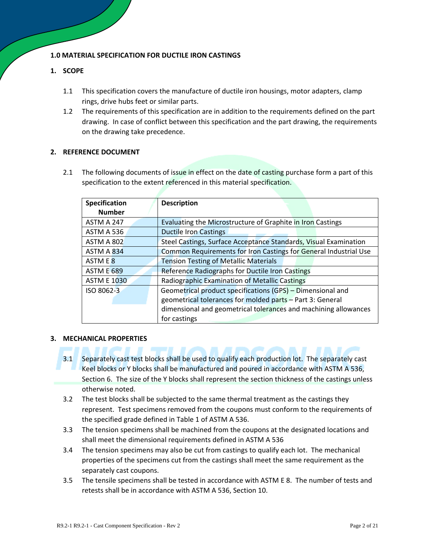#### **1.0 MATERIAL SPECIFICATION FOR DUCTILE IRON CASTINGS**

#### **1. SCOPE**

- 1.1 This specification covers the manufacture of ductile iron housings, motor adapters, clamp rings, drive hubs feet or similar parts.
- 1.2 The requirements of this specification are in addition to the requirements defined on the part drawing. In case of conflict between this specification and the part drawing, the requirements on the drawing take precedence.

#### **2. REFERENCE DOCUMENT**

2.1 The following documents of issue in effect on the date of casting purchase form a part of this specification to the extent referenced in this material specification.

| Specification      | <b>Description</b>                                               |  |  |
|--------------------|------------------------------------------------------------------|--|--|
| <b>Number</b>      |                                                                  |  |  |
| ASTM A 247         | Evaluating the Microstructure of Graphite in Iron Castings       |  |  |
| ASTM A 536         | <b>Ductile Iron Castings</b>                                     |  |  |
| ASTM A 802         | Steel Castings, Surface Acceptance Standards, Visual Examination |  |  |
| ASTM A 834         | Common Requirements for Iron Castings for General Industrial Use |  |  |
| ASTM E 8           | <b>Tension Testing of Metallic Materials</b>                     |  |  |
| <b>ASTM E 689</b>  | Reference Radiographs for Ductile Iron Castings                  |  |  |
| <b>ASTM E 1030</b> | <b>Radiographic Examination of Metallic Castings</b>             |  |  |
| ISO 8062-3         | Geometrical product specifications (GPS) - Dimensional and       |  |  |
|                    | geometrical tolerances for molded parts - Part 3: General        |  |  |
|                    | dimensional and geometrical tolerances and machining allowances  |  |  |
|                    | for castings                                                     |  |  |

#### **3. MECHANICAL PROPERTIES**

- 3.1 Separately cast test blocks shall be used to qualify each production lot. The separately cast Keel blocks or Y blocks shall be manufactured and poured in accordance with ASTM A 536, Section 6. The size of the Y blocks shall represent the section thickness of the castings unless otherwise noted.
- 3.2 The test blocks shall be subjected to the same thermal treatment as the castings they represent. Test specimens removed from the coupons must conform to the requirements of the specified grade defined in Table 1 of ASTM A 536.
- 3.3 The tension specimens shall be machined from the coupons at the designated locations and shall meet the dimensional requirements defined in ASTM A 536
- 3.4 The tension specimens may also be cut from castings to qualify each lot. The mechanical properties of the specimens cut from the castings shall meet the same requirement as the separately cast coupons.
- 3.5 The tensile specimens shall be tested in accordance with ASTM E 8. The number of tests and retests shall be in accordance with ASTM A 536, Section 10.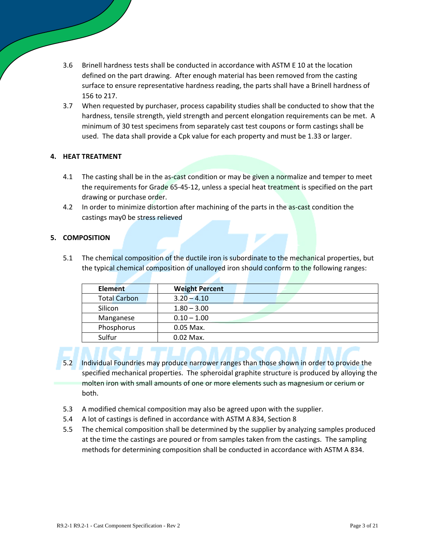- 3.6 Brinell hardness tests shall be conducted in accordance with ASTM E 10 at the location defined on the part drawing. After enough material has been removed from the casting surface to ensure representative hardness reading, the parts shall have a Brinell hardness of 156 to 217.
- 3.7 When requested by purchaser, process capability studies shall be conducted to show that the hardness, tensile strength, yield strength and percent elongation requirements can be met. A minimum of 30 test specimens from separately cast test coupons or form castings shall be used. The data shall provide a Cpk value for each property and must be 1.33 or larger.

#### **4. HEAT TREATMENT**

- 4.1 The casting shall be in the as-cast condition or may be given a normalize and temper to meet the requirements for Grade 65-45-12, unless a special heat treatment is specified on the part drawing or purchase order.
- 4.2 In order to minimize distortion after machining of the parts in the as-cast condition the castings may0 be stress relieved

#### **5. COMPOSITION**

5.1 The chemical composition of the ductile iron is subordinate to the mechanical properties, but the typical chemical composition of unalloyed iron should conform to the following ranges:

| <b>Element</b>      | <b>Weight Percent</b> |
|---------------------|-----------------------|
| <b>Total Carbon</b> | $3.20 - 4.10$         |
| Silicon             | $1.80 - 3.00$         |
| Manganese           | $0.10 - 1.00$         |
| Phosphorus          | $0.05$ Max.           |
| Sulfur              | $0.02$ Max.           |

- - 5.2 Individual Foundries may produce narrower ranges than those shown in order to provide the specified mechanical properties. The spheroidal graphite structure is produced by alloying the molten iron with small amounts of one or more elements such as magnesium or cerium or both.
- 5.3 A modified chemical composition may also be agreed upon with the supplier.
- 5.4 A lot of castings is defined in accordance with ASTM A 834, Section 8
- 5.5 The chemical composition shall be determined by the supplier by analyzing samples produced at the time the castings are poured or from samples taken from the castings. The sampling methods for determining composition shall be conducted in accordance with ASTM A 834.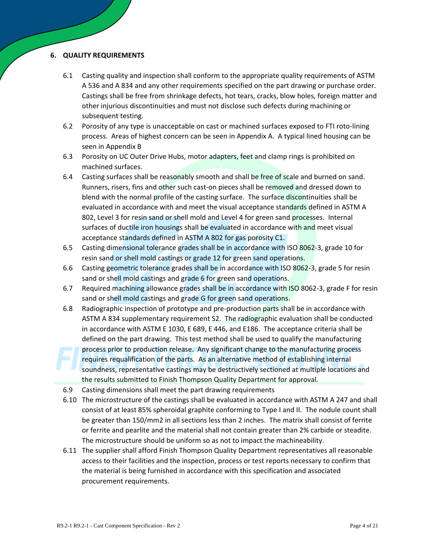#### **6. QUALITY REQUIREMENTS**

- 6.1 Casting quality and inspection shall conform to the appropriate quality requirements of ASTM A 536 and A 834 and any other requirements specified on the part drawing or purchase order. Castings shall be free from shrinkage defects, hot tears, cracks, blow holes, foreign matter and other injurious discontinuities and must not disclose such defects during machining or subsequent testing.
- 6.2 Porosity of any type is unacceptable on cast or machined surfaces exposed to FTI roto-lining process. Areas of highest concern can be seen in Appendix A. A typical lined housing can be seen in Appendix B
- 6.3 Porosity on UC Outer Drive Hubs, motor adapters, feet and clamp rings is prohibited on machined surfaces.
- 6.4 Casting surfaces shall be reasonably smooth and shall be free of scale and burned on sand. Runners, risers, fins and other such cast-on pieces shall be removed and dressed down to blend with the normal profile of the casting surface. The surface discontinuities shall be evaluated in accordance with and meet the visual acceptance standards defined in ASTM A 802, Level 3 for resin sand or shell mold and Level 4 for green sand processes. Internal surfaces of ductile iron housings shall be evaluated in accordance with and meet visual acceptance standards defined in ASTM A 802 for gas porosity C1.
- 6.5 Casting dimensional tolerance grades shall be in accordance with ISO 8062-3, grade 10 for resin sand or shell mold castings or grade 12 for green sand operations.
- 6.6 Casting geometric tolerance grades shall be in accordance with ISO 8062-3, grade 5 for resin sand or shell mold castings and grade 6 for green sand operations.
- 6.7 Required machining allowance grades shall be in accordance with ISO 8062-3, grade F for resin sand or shell mold castings and grade G for green sand operations.
- 6.8 Radiographic inspection of prototype and pre-production parts shall be in accordance with ASTM A 834 supplementary requirement S2. The radiographic evaluation shall be conducted in accordance with ASTM E 1030, E 689, E 446, and E186. The acceptance criteria shall be defined on the part drawing. This test method shall be used to qualify the manufacturing process prior to production release. Any significant change to the manufacturing process requires requalification of the parts. As an alternative method of establishing internal soundness, representative castings may be destructively sectioned at multiple locations and the results submitted to Finish Thompson Quality Department for approval.
- 6.9 Casting dimensions shall meet the part drawing requirements
- 6.10 The microstructure of the castings shall be evaluated in accordance with ASTM A 247 and shall consist of at least 85% spheroidal graphite conforming to Type I and II. The nodule count shall be greater than 150/mm2 in all sections less than 2 inches. The matrix shall consist of ferrite or ferrite and pearlite and the material shall not contain greater than 2% carbide or steadite. The microstructure should be uniform so as not to impact the machineability.
- 6.11 The supplier shall afford Finish Thompson Quality Department representatives all reasonable access to their facilities and the inspection, process or test reports necessary to confirm that the material is being furnished in accordance with this specification and associated procurement requirements.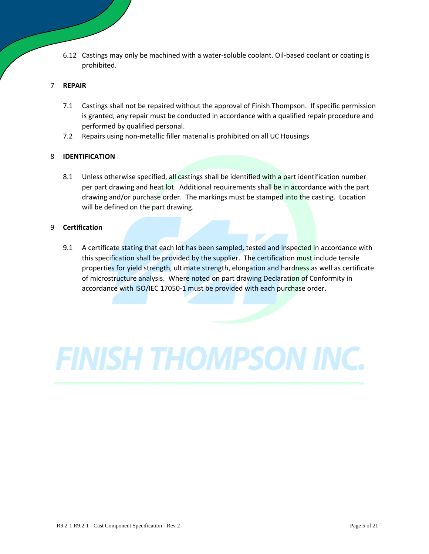6.12 Castings may only be machined with a water-soluble coolant. Oil-based coolant or coating is prohibited.

#### 7 **REPAIR**

- 7.1 Castings shall not be repaired without the approval of Finish Thompson. If specific permission is granted, any repair must be conducted in accordance with a qualified repair procedure and performed by qualified personal.
- 7.2 Repairs using non-metallic filler material is prohibited on all UC Housings

#### 8 **IDENTIFICATION**

8.1 Unless otherwise specified, all castings shall be identified with a part identification number per part drawing and heat lot. Additional requirements shall be in accordance with the part drawing and/or purchase order. The markings must be stamped into the casting. Location will be defined on the part drawing.

#### 9 **Certification**

9.1 A certificate stating that each lot has been sampled, tested and inspected in accordance with this specification shall be provided by the supplier. The certification must include tensile properties for yield strength, ultimate strength, elongation and hardness as well as certificate of microstructure analysis. Where noted on part drawing Declaration of Conformity in accordance with ISO/IEC 17050-1 must be provided with each purchase order.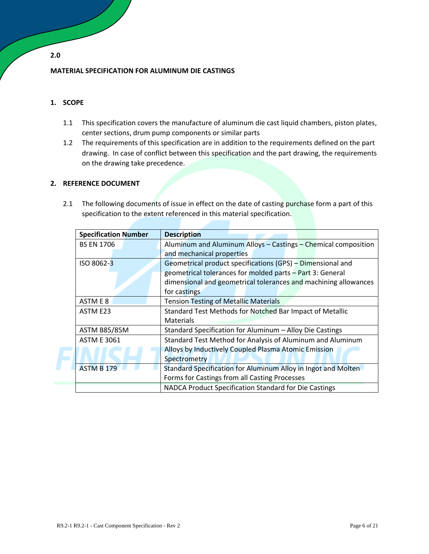#### **MATERIAL SPECIFICATION FOR ALUMINUM DIE CASTINGS**

#### **1. SCOPE**

- 1.1 This specification covers the manufacture of aluminum die cast liquid chambers, piston plates, center sections, drum pump components or similar parts
- 1.2 The requirements of this specification are in addition to the requirements defined on the part drawing. In case of conflict between this specification and the part drawing, the requirements on the drawing take precedence.

#### **2. REFERENCE DOCUMENT**

2.1 The following documents of issue in effect on the date of casting purchase form a part of this specification to the extent referenced in this material specification.

| <b>Specification Number</b> | <b>Description</b>                                              |  |
|-----------------------------|-----------------------------------------------------------------|--|
| <b>BS EN 1706</b>           | Aluminum and Aluminum Alloys - Castings - Chemical composition  |  |
|                             | and mechanical properties                                       |  |
| ISO 8062-3                  | Geometrical product specifications (GPS) - Dimensional and      |  |
|                             | geometrical tolerances for molded parts - Part 3: General       |  |
|                             | dimensional and geometrical tolerances and machining allowances |  |
|                             | for castings                                                    |  |
| ASTM E 8                    | <b>Tension Testing of Metallic Materials</b>                    |  |
| ASTM E23                    | Standard Test Methods for Notched Bar Impact of Metallic        |  |
|                             | <b>Materials</b>                                                |  |
| <b>ASTM B85/85M</b>         | Standard Specification for Aluminum - Alloy Die Castings        |  |
| <b>ASTM E 3061</b>          | Standard Test Method for Analysis of Aluminum and Aluminum      |  |
|                             | Alloys by Inductively Coupled Plasma Atomic Emission            |  |
|                             | Spectrometry                                                    |  |
| <b>ASTM B 179</b>           | Standard Specification for Aluminum Alloy in Ingot and Molten   |  |
|                             | Forms for Castings from all Casting Processes                   |  |
|                             | NADCA Product Specification Standard for Die Castings           |  |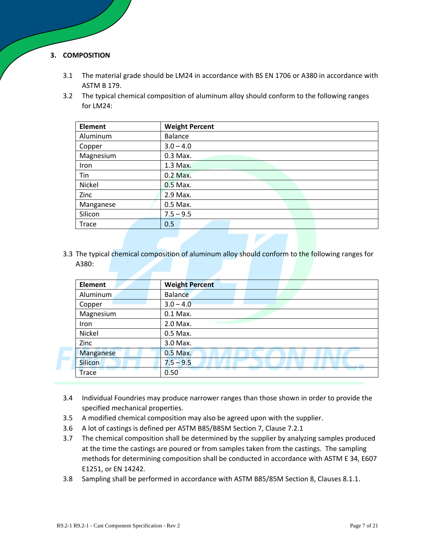#### **3. COMPOSITION**

- 3.1 The material grade should be LM24 in accordance with BS EN 1706 or A380 in accordance with ASTM B 179.
- 3.2 The typical chemical composition of aluminum alloy should conform to the following ranges for LM24:

| <b>Element</b> | <b>Weight Percent</b> |
|----------------|-----------------------|
| Aluminum       | Balance               |
| Copper         | $3.0 - 4.0$           |
| Magnesium      | 0.3 Max.              |
| Iron           | 1.3 Max.              |
| Tin            | 0.2 Max.              |
| Nickel         | 0.5 Max.              |
| Zinc           | 2.9 Max.              |
| Manganese      | 0.5 Max.              |
| Silicon        | $7.5 - 9.5$           |
| Trace          | 0.5                   |

3.3 The typical chemical composition of aluminum alloy should conform to the following ranges for A380:

| <b>Element</b> | <b>Weight Percent</b> |
|----------------|-----------------------|
| Aluminum       | Balance               |
| Copper         | $3.0 - 4.0$           |
| Magnesium      | 0.1 Max.              |
| Iron           | 2.0 Max.              |
| Nickel         | 0.5 Max.              |
| Zinc           | 3.0 Max.              |
| Manganese      | 0.5 Max.              |
| <b>Silicon</b> | $7.5 - 9.5$           |
| <b>Trace</b>   | 0.50                  |

- 3.4 Individual Foundries may produce narrower ranges than those shown in order to provide the specified mechanical properties.
- 3.5 A modified chemical composition may also be agreed upon with the supplier.
- 3.6 A lot of castings is defined per ASTM B85/B85M Section 7, Clause 7.2.1
- 3.7 The chemical composition shall be determined by the supplier by analyzing samples produced at the time the castings are poured or from samples taken from the castings. The sampling methods for determining composition shall be conducted in accordance with ASTM E 34, E607 E1251, or EN 14242.
- 3.8 Sampling shall be performed in accordance with ASTM B85/85M Section 8, Clauses 8.1.1.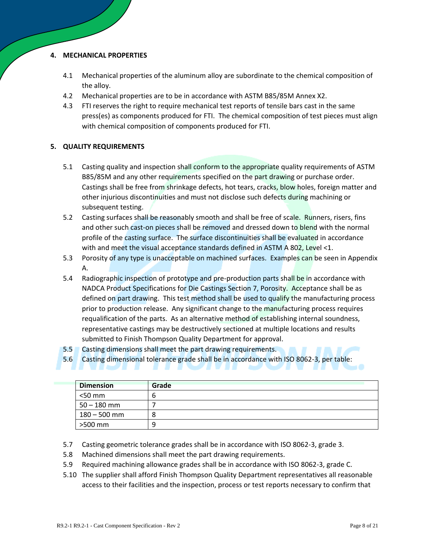#### **4. MECHANICAL PROPERTIES**

- 4.1 Mechanical properties of the aluminum alloy are subordinate to the chemical composition of the alloy.
- 4.2 Mechanical properties are to be in accordance with ASTM B85/85M Annex X2.
- 4.3 FTI reserves the right to require mechanical test reports of tensile bars cast in the same press(es) as components produced for FTI. The chemical composition of test pieces must align with chemical composition of components produced for FTI.

#### **5. QUALITY REQUIREMENTS**

- 5.1 Casting quality and inspection shall conform to the appropriate quality requirements of ASTM B85/85M and any other requirements specified on the part drawing or purchase order. Castings shall be free from shrinkage defects, hot tears, cracks, blow holes, foreign matter and other injurious discontinuities and must not disclose such defects during machining or subsequent testing.
- 5.2 Casting surfaces shall be reasonably smooth and shall be free of scale. Runners, risers, fins and other such cast-on pieces shall be removed and dressed down to blend with the normal profile of the casting surface. The surface discontinuities shall be evaluated in accordance with and meet the visual acceptance standards defined in ASTM A 802, Level <1.
- 5.3 Porosity of any type is unacceptable on machined surfaces. Examples can be seen in Appendix A.
- 5.4 Radiographic inspection of prototype and pre-production parts shall be in accordance with NADCA Product Specifications for Die Castings Section 7, Porosity. Acceptance shall be as defined on part drawing. This test method shall be used to qualify the manufacturing process prior to production release. Any significant change to the manufacturing process requires requalification of the parts. As an alternative method of establishing internal soundness, representative castings may be destructively sectioned at multiple locations and results submitted to Finish Thompson Quality Department for approval.
- 5.5 Casting dimensions shall meet the part drawing requirements.
- 5.6 Casting dimensional tolerance grade shall be in accordance with ISO 8062-3, per table:

| <b>Dimension</b> | Grade |
|------------------|-------|
| $<$ 50 mm        | ь     |
| $50 - 180$ mm    |       |
| $180 - 500$ mm   | 8     |
| >500 mm          | q     |

- 5.7 Casting geometric tolerance grades shall be in accordance with ISO 8062-3, grade 3.
- 5.8 Machined dimensions shall meet the part drawing requirements.
- 5.9 Required machining allowance grades shall be in accordance with ISO 8062-3, grade C.
- 5.10 The supplier shall afford Finish Thompson Quality Department representatives all reasonable access to their facilities and the inspection, process or test reports necessary to confirm that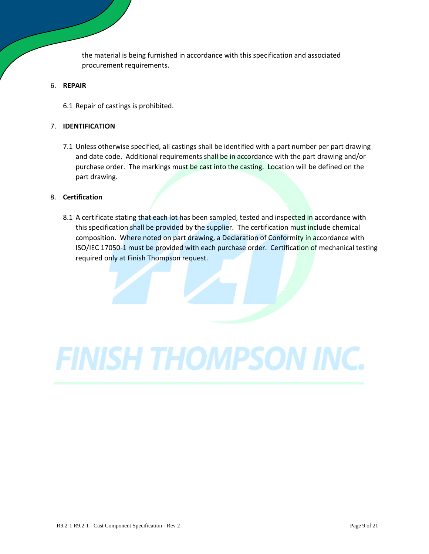the material is being furnished in accordance with this specification and associated procurement requirements.

#### 6. **REPAIR**

6.1 Repair of castings is prohibited.

#### 7. **IDENTIFICATION**

7.1 Unless otherwise specified, all castings shall be identified with a part number per part drawing and date code. Additional requirements shall be in accordance with the part drawing and/or purchase order. The markings must be cast into the casting. Location will be defined on the part drawing.

#### 8. **Certification**

8.1 A certificate stating that each lot has been sampled, tested and inspected in accordance with this specification shall be provided by the supplier. The certification must include chemical composition. Where noted on part drawing, a Declaration of Conformity in accordance with ISO/IEC 17050-1 must be provided with each purchase order. Certification of mechanical testing required only at Finish Thompson request.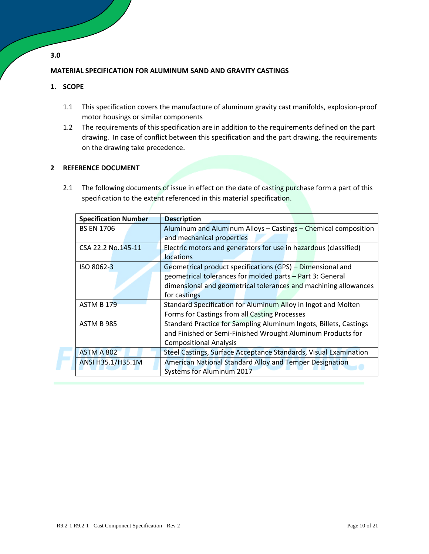#### **MATERIAL SPECIFICATION FOR ALUMINUM SAND AND GRAVITY CASTINGS**

#### **1. SCOPE**

- 1.1 This specification covers the manufacture of aluminum gravity cast manifolds, explosion-proof motor housings or similar components
- 1.2 The requirements of this specification are in addition to the requirements defined on the part drawing. In case of conflict between this specification and the part drawing, the requirements on the drawing take precedence.

#### **2 REFERENCE DOCUMENT**

2.1 The following documents of issue in effect on the date of casting purchase form a part of this specification to the extent referenced in this material specification.

| <b>Specification Number</b> | <b>Description</b>                                                            |  |
|-----------------------------|-------------------------------------------------------------------------------|--|
| <b>BS EN 1706</b>           | Aluminum and Aluminum Alloys - Castings - Chemical composition                |  |
|                             | and mechanical properties                                                     |  |
| CSA 22.2 No.145-11          | Electric motors and generators for use in hazardous (classified)<br>locations |  |
| ISO 8062-3                  | Geometrical product specifications (GPS) – Dimensional and                    |  |
|                             | geometrical tolerances for molded parts - Part 3: General                     |  |
|                             | dimensional and geometrical tolerances and machining allowances               |  |
|                             | for castings                                                                  |  |
| <b>ASTM B 179</b>           | Standard Specification for Aluminum Alloy in Ingot and Molten                 |  |
|                             | Forms for Castings from all Casting Processes                                 |  |
| <b>ASTM B 985</b>           | Standard Practice for Sampling Aluminum Ingots, Billets, Castings             |  |
|                             | and Finished or Semi-Finished Wrought Aluminum Products for                   |  |
|                             | <b>Compositional Analysis</b>                                                 |  |
| ASTM A 802                  | Steel Castings, Surface Acceptance Standards, Visual Examination              |  |
| ANSI H35.1/H35.1M           | American National Standard Alloy and Temper Designation                       |  |
|                             | <b>Systems for Aluminum 2017</b>                                              |  |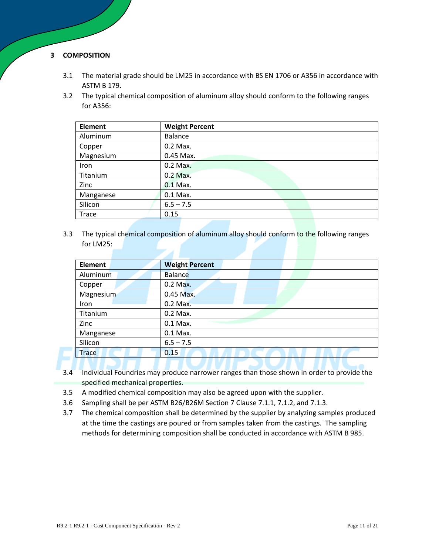#### **3 COMPOSITION**

- 3.1 The material grade should be LM25 in accordance with BS EN 1706 or A356 in accordance with ASTM B 179.
- 3.2 The typical chemical composition of aluminum alloy should conform to the following ranges for A356:

| <b>Element</b> | <b>Weight Percent</b> |
|----------------|-----------------------|
| Aluminum       | Balance               |
| Copper         | 0.2 Max.              |
| Magnesium      | 0.45 Max.             |
| Iron           | 0.2 Max.              |
| Titanium       | 0.2 Max.              |
| Zinc           | $0.1$ Max.            |
| Manganese      | 0.1 Max.              |
| Silicon        | $6.5 - 7.5$           |
| Trace          | 0.15                  |

3.3 The typical chemical composition of aluminum alloy should conform to the following ranges for LM25:

| <b>Element</b> | <b>Weight Percent</b> |
|----------------|-----------------------|
| Aluminum       | <b>Balance</b>        |
| Copper         | $0.2$ Max.            |
| Magnesium      | 0.45 Max.             |
| Iron           | 0.2 Max.              |
| Titanium       | 0.2 Max.              |
| Zinc           | 0.1 Max.              |
| Manganese      | 0.1 Max.              |
| Silicon        | $6.5 - 7.5$           |
| <b>Trace</b>   | 0.15                  |
|                |                       |

- 3.4 Individual Foundries may produce narrower ranges than those shown in order to provide the specified mechanical properties.
- 3.5 A modified chemical composition may also be agreed upon with the supplier.
- 3.6 Sampling shall be per ASTM B26/B26M Section 7 Clause 7.1.1, 7.1.2, and 7.1.3.
- 3.7 The chemical composition shall be determined by the supplier by analyzing samples produced at the time the castings are poured or from samples taken from the castings. The sampling methods for determining composition shall be conducted in accordance with ASTM B 985.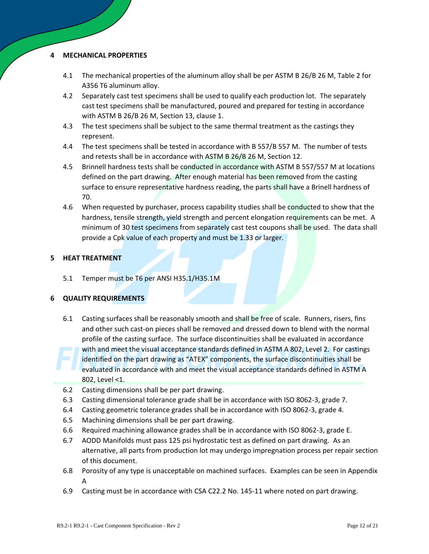#### **4 MECHANICAL PROPERTIES**

- 4.1 The mechanical properties of the aluminum alloy shall be per ASTM B 26/B 26 M, Table 2 for A356 T6 aluminum alloy.
- 4.2 Separately cast test specimens shall be used to qualify each production lot. The separately cast test specimens shall be manufactured, poured and prepared for testing in accordance with ASTM B 26/B 26 M, Section 13, clause 1.
- 4.3 The test specimens shall be subject to the same thermal treatment as the castings they represent.
- 4.4 The test specimens shall be tested in accordance with B 557/B 557 M. The number of tests and retests shall be in accordance with ASTM B 26/B 26 M, Section 12.
- 4.5 Brinnell hardness tests shall be conducted in accordance with ASTM B 557/557 M at locations defined on the part drawing. After enough material has been removed from the casting surface to ensure representative hardness reading, the parts shall have a Brinell hardness of 70.
- 4.6 When requested by purchaser, process capability studies shall be conducted to show that the hardness, tensile strength, yield strength and percent elongation requirements can be met. A minimum of 30 test specimens from separately cast test coupons shall be used. The data shall provide a Cpk value of each property and must be 1.33 or larger.

#### **5 HEAT TREATMENT**

5.1 Temper must be T6 per ANSI H35.1/H35.1M

#### **6 QUALITY REQUIREMENTS**

- 6.1 Casting surfaces shall be reasonably smooth and shall be free of scale. Runners, risers, fins and other such cast-on pieces shall be removed and dressed down to blend with the normal profile of the casting surface. The surface discontinuities shall be evaluated in accordance with and meet the visual acceptance standards defined in ASTM A 802, Level 2. For castings identified on the part drawing as "ATEX" components, the surface discontinuities shall be evaluated in accordance with and meet the visual acceptance standards defined in ASTM A 802, Level <1.
- 6.2 Casting dimensions shall be per part drawing.
- 6.3 Casting dimensional tolerance grade shall be in accordance with ISO 8062-3, grade 7.
- 6.4 Casting geometric tolerance grades shall be in accordance with ISO 8062-3, grade 4.
- 6.5 Machining dimensions shall be per part drawing.
- 6.6 Required machining allowance grades shall be in accordance with ISO 8062-3, grade E.
- 6.7 AODD Manifolds must pass 125 psi hydrostatic test as defined on part drawing. As an alternative, all parts from production lot may undergo impregnation process per repair section of this document.
- 6.8 Porosity of any type is unacceptable on machined surfaces. Examples can be seen in Appendix A
- 6.9 Casting must be in accordance with CSA C22.2 No. 145-11 where noted on part drawing.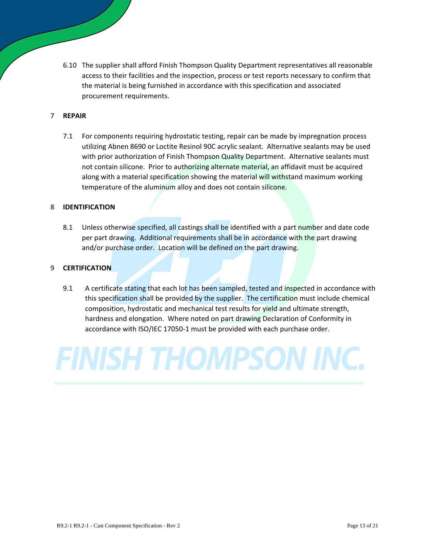6.10 The supplier shall afford Finish Thompson Quality Department representatives all reasonable access to their facilities and the inspection, process or test reports necessary to confirm that the material is being furnished in accordance with this specification and associated procurement requirements.

#### 7 **REPAIR**

7.1 For components requiring hydrostatic testing, repair can be made by impregnation process utilizing Abnen 8690 or Loctite Resinol 90C acrylic sealant. Alternative sealants may be used with prior authorization of Finish Thompson Quality Department. Alternative sealants must not contain silicone. Prior to authorizing alternate material, an affidavit must be acquired along with a material specification showing the material will withstand maximum working temperature of the aluminum alloy and does not contain silicone.

#### 8 **IDENTIFICATION**

8.1 Unless otherwise specified, all castings shall be identified with a part number and date code per part drawing. Additional requirements shall be in accordance with the part drawing and/or purchase order. Location will be defined on the part drawing.

#### 9 **CERTIFICATION**

9.1 A certificate stating that each lot has been sampled, tested and inspected in accordance with this specification shall be provided by the supplier. The certification must include chemical composition, hydrostatic and mechanical test results for yield and ultimate strength, hardness and elongation. Where noted on part drawing Declaration of Conformity in accordance with ISO/IEC 17050-1 must be provided with each purchase order.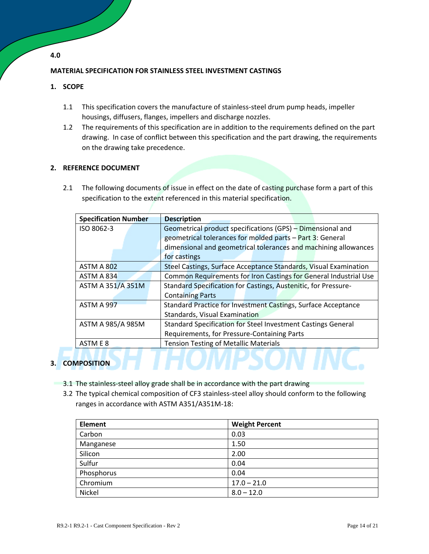#### **MATERIAL SPECIFICATION FOR STAINLESS STEEL INVESTMENT CASTINGS**

#### **1. SCOPE**

- 1.1 This specification covers the manufacture of stainless-steel drum pump heads, impeller housings, diffusers, flanges, impellers and discharge nozzles.
- 1.2 The requirements of this specification are in addition to the requirements defined on the part drawing. In case of conflict between this specification and the part drawing, the requirements on the drawing take precedence.

#### **2. REFERENCE DOCUMENT**

2.1 The following documents of issue in effect on the date of casting purchase form a part of this specification to the extent referenced in this material specification.

| <b>Specification Number</b> | <b>Description</b>                                               |  |
|-----------------------------|------------------------------------------------------------------|--|
| ISO 8062-3                  | Geometrical product specifications (GPS) - Dimensional and       |  |
|                             | geometrical tolerances for molded parts - Part 3: General        |  |
|                             | dimensional and geometrical tolerances and machining allowances  |  |
|                             | for castings                                                     |  |
| ASTM A 802                  | Steel Castings, Surface Acceptance Standards, Visual Examination |  |
| ASTM A 834                  | Common Requirements for Iron Castings for General Industrial Use |  |
| ASTM A 351/A 351M           | Standard Specification for Castings, Austenitic, for Pressure-   |  |
|                             | <b>Containing Parts</b>                                          |  |
| ASTM A 997                  | Standard Practice for Investment Castings, Surface Acceptance    |  |
|                             | Standards, Visual Examination                                    |  |
| ASTM A 985/A 985M           | Standard Specification for Steel Investment Castings General     |  |
|                             | Requirements, for Pressure-Containing Parts                      |  |
| ASTM E 8                    | <b>Tension Testing of Metallic Materials</b>                     |  |
|                             |                                                                  |  |
| <b>APOSITION</b>            |                                                                  |  |

#### **3. COMPOSITION**

- 3.1 The stainless-steel alloy grade shall be in accordance with the part drawing
- 3.2 The typical chemical composition of CF3 stainless-steel alloy should conform to the following ranges in accordance with ASTM A351/A351M-18:

| <b>Element</b> | <b>Weight Percent</b> |
|----------------|-----------------------|
| Carbon         | 0.03                  |
| Manganese      | 1.50                  |
| Silicon        | 2.00                  |
| Sulfur         | 0.04                  |
| Phosphorus     | 0.04                  |
| Chromium       | $17.0 - 21.0$         |
| Nickel         | $8.0 - 12.0$          |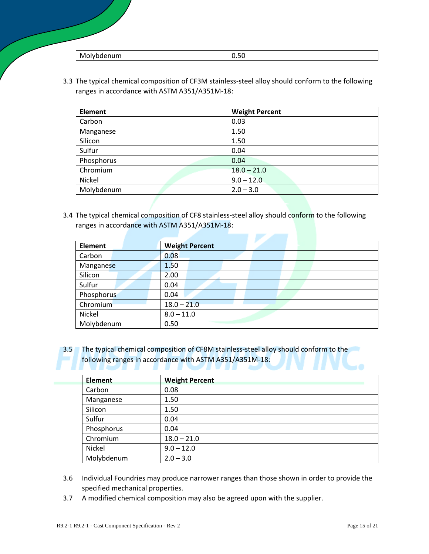| w<br>. |  |
|--------|--|
| .      |  |

3.3 The typical chemical composition of CF3M stainless-steel alloy should conform to the following ranges in accordance with ASTM A351/A351M-18:

| <b>Element</b> | <b>Weight Percent</b> |
|----------------|-----------------------|
| Carbon         | 0.03                  |
| Manganese      | 1.50                  |
| Silicon        | 1.50                  |
| Sulfur         | 0.04                  |
| Phosphorus     | 0.04                  |
| Chromium       | $18.0 - 21.0$         |
| Nickel         | $9.0 - 12.0$          |
| Molybdenum     | $2.0 - 3.0$           |

3.4 The typical chemical composition of CF8 stainless-steel alloy should conform to the following ranges in accordance with ASTM A351/A351M-18:

| <b>Weight Percent</b> |
|-----------------------|
| 0.08                  |
| 1.50                  |
| 2.00                  |
| 0.04                  |
| 0.04                  |
| $18.0 - 21.0$         |
| $8.0 - 11.0$          |
| 0.50                  |
|                       |

3.5 The typical chemical composition of CF8M stainless-steel alloy should conform to the following ranges in accordance with ASTM A351/A351M-18:

| <b>Element</b> | <b>Weight Percent</b> |
|----------------|-----------------------|
| Carbon         | 0.08                  |
| Manganese      | 1.50                  |
| Silicon        | 1.50                  |
| Sulfur         | 0.04                  |
| Phosphorus     | 0.04                  |
| Chromium       | $18.0 - 21.0$         |
| Nickel         | $9.0 - 12.0$          |
| Molybdenum     | $2.0 - 3.0$           |

- 3.6 Individual Foundries may produce narrower ranges than those shown in order to provide the specified mechanical properties.
- 3.7 A modified chemical composition may also be agreed upon with the supplier.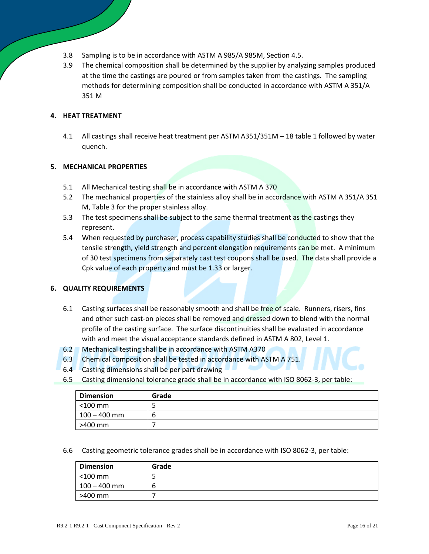- 3.8 Sampling is to be in accordance with ASTM A 985/A 985M, Section 4.5.
- 3.9 The chemical composition shall be determined by the supplier by analyzing samples produced at the time the castings are poured or from samples taken from the castings. The sampling methods for determining composition shall be conducted in accordance with ASTM A 351/A 351 M

#### **4. HEAT TREATMENT**

4.1 All castings shall receive heat treatment per ASTM A351/351M – 18 table 1 followed by water quench.

#### **5. MECHANICAL PROPERTIES**

- 5.1 All Mechanical testing shall be in accordance with ASTM A 370
- 5.2 The mechanical properties of the stainless alloy shall be in accordance with ASTM A 351/A 351 M, Table 3 for the proper stainless alloy.
- 5.3 The test specimens shall be subject to the same thermal treatment as the castings they represent.
- 5.4 When requested by purchaser, process capability studies shall be conducted to show that the tensile strength, yield strength and percent elongation requirements can be met. A minimum of 30 test specimens from separately cast test coupons shall be used. The data shall provide a Cpk value of each property and must be 1.33 or larger.

#### **6. QUALITY REQUIREMENTS**

- 6.1 Casting surfaces shall be reasonably smooth and shall be free of scale. Runners, risers, fins and other such cast-on pieces shall be removed and dressed down to blend with the normal profile of the casting surface. The surface discontinuities shall be evaluated in accordance with and meet the visual acceptance standards defined in ASTM A 802, Level 1.
- 6.2 Mechanical testing shall be in accordance with ASTM A370
- 6.3 Chemical composition shall be tested in accordance with ASTM A 751.
- 6.4 Casting dimensions shall be per part drawing
- 6.5 Casting dimensional tolerance grade shall be in accordance with ISO 8062-3, per table:

| <b>Dimension</b> | Grade |
|------------------|-------|
| $<$ 100 mm       |       |
| 100 – 400 mm     | n     |
| >400 mm          |       |

6.6 Casting geometric tolerance grades shall be in accordance with ISO 8062-3, per table:

| <b>Dimension</b> | Grade |
|------------------|-------|
| $<$ 100 mm       |       |
| $100 - 400$ mm   |       |
| >400 mm          |       |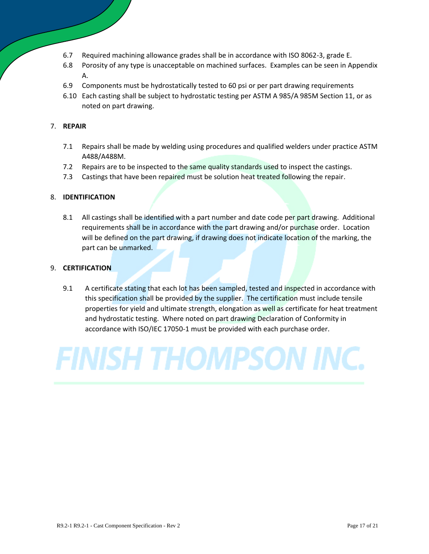- 6.7 Required machining allowance grades shall be in accordance with ISO 8062-3, grade E.
- 6.8 Porosity of any type is unacceptable on machined surfaces. Examples can be seen in Appendix A.
- 6.9 Components must be hydrostatically tested to 60 psi or per part drawing requirements
- 6.10 Each casting shall be subject to hydrostatic testing per ASTM A 985/A 985M Section 11, or as noted on part drawing.

#### 7. **REPAIR**

- 7.1 Repairs shall be made by welding using procedures and qualified welders under practice ASTM A488/A488M.
- 7.2 Repairs are to be inspected to the same quality standards used to inspect the castings.
- 7.3 Castings that have been repaired must be solution heat treated following the repair.

#### 8. **IDENTIFICATION**

8.1 All castings shall be identified with a part number and date code per part drawing. Additional requirements shall be in accordance with the part drawing and/or purchase order. Location will be defined on the part drawing, if drawing does not indicate location of the marking, the part can be unmarked.

#### 9. **CERTIFICATION**

9.1 A certificate stating that each lot has been sampled, tested and inspected in accordance with this specification shall be provided by the supplier. The certification must include tensile properties for yield and ultimate strength, elongation as well as certificate for heat treatment and hydrostatic testing. Where noted on part drawing Declaration of Conformity in accordance with ISO/IEC 17050-1 must be provided with each purchase order.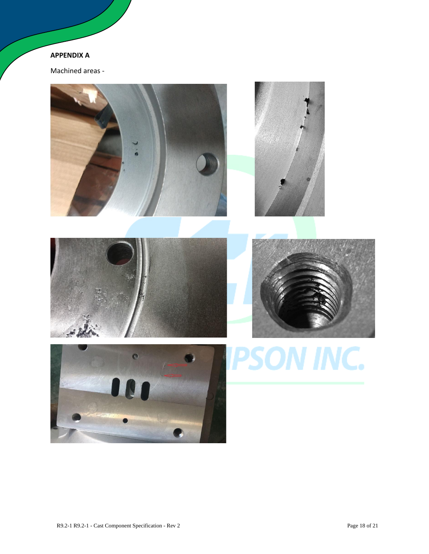### **APPENDIX A**

Machined areas -

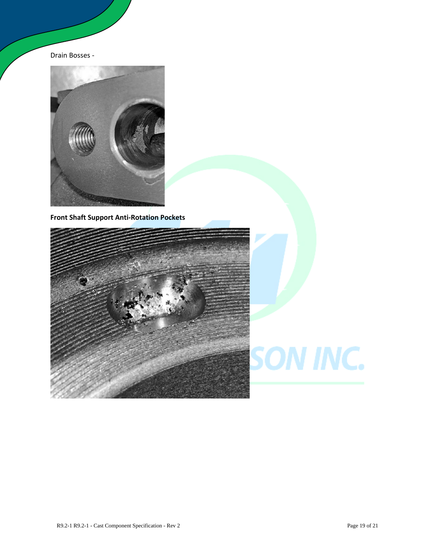Drain Bosses -



**Front Shaft Support Anti-Rotation Pockets**

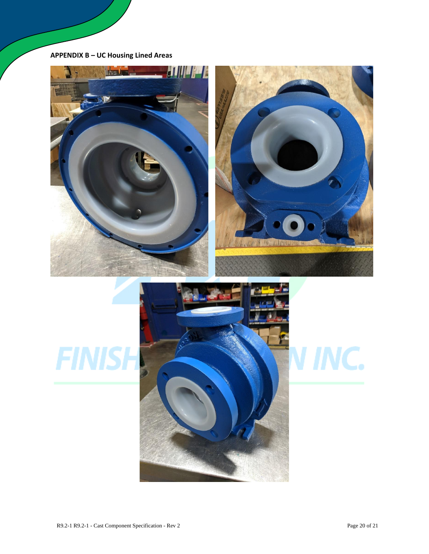### **APPENDIX B – UC Housing Lined Areas**